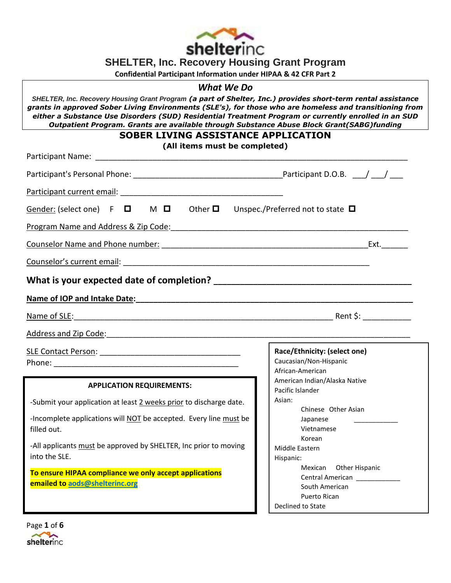

**SHELTER, Inc. Recovery Housing Grant Program**

**Confidential Participant Information under HIPAA & 42 CFR Part 2**

# *What We Do*

*SHELTER, Inc. Recovery Housing Grant Program (a part of Shelter, Inc.) provides short-term rental assistance grants in approved Sober Living Environments (SLE's), for those who are homeless and transitioning from either a Substance Use Disorders (SUD) Residential Treatment Program or currently enrolled in an SUD Outpatient Program. Grants are available through Substance Abuse Block Grant(SABG)funding*

## **SOBER LIVING ASSISTANCE APPLICATION**

**(All items must be completed)**

| (All items must be completed)                                                                                                                                                                                                  |                                            |  |  |  |
|--------------------------------------------------------------------------------------------------------------------------------------------------------------------------------------------------------------------------------|--------------------------------------------|--|--|--|
|                                                                                                                                                                                                                                |                                            |  |  |  |
|                                                                                                                                                                                                                                |                                            |  |  |  |
| Gender: (select one) $F \Box$ M $\Box$ Other $\Box$ Unspec./Preferred not to state $\Box$                                                                                                                                      |                                            |  |  |  |
| Program Name and Address & Zip Code:<br>Program Name and Address & Zip Code:                                                                                                                                                   |                                            |  |  |  |
|                                                                                                                                                                                                                                |                                            |  |  |  |
|                                                                                                                                                                                                                                |                                            |  |  |  |
|                                                                                                                                                                                                                                |                                            |  |  |  |
| Name of IOP and Intake Date: Manual According to the American According to the According Contract of the According Contract of the According Contract of the According Contract of the According Contract of the According Ord |                                            |  |  |  |
|                                                                                                                                                                                                                                |                                            |  |  |  |
| Address and Zip Code: Note: Note: Note: Note: Note: Note: Note: Note: Note: Note: Note: Note: Note: Note: Note: Note: Note: Note: Note: Note: Note: Note: Note: Note: Note: Note: Note: Note: Note: Note: Note: Note: Note: No |                                            |  |  |  |
|                                                                                                                                                                                                                                | Race/Ethnicity: (select one)               |  |  |  |
|                                                                                                                                                                                                                                | Caucasian/Non-Hispanic<br>African-American |  |  |  |
|                                                                                                                                                                                                                                | American Indian/Alaska Native              |  |  |  |
| <b>APPLICATION REQUIREMENTS:</b>                                                                                                                                                                                               | Pacific Islander                           |  |  |  |
| -Submit your application at least 2 weeks prior to discharge date.                                                                                                                                                             | Asian:                                     |  |  |  |
| -Incomplete applications will NOT be accepted. Every line must be                                                                                                                                                              | Chinese Other Asian                        |  |  |  |
| filled out.                                                                                                                                                                                                                    | Japanese<br>Vietnamese                     |  |  |  |
|                                                                                                                                                                                                                                | Korean                                     |  |  |  |
| -All applicants must be approved by SHELTER, Inc prior to moving                                                                                                                                                               | Middle Eastern                             |  |  |  |
| into the SLE.                                                                                                                                                                                                                  | Hispanic:                                  |  |  |  |
| To ensure HIPAA compliance we only accept applications                                                                                                                                                                         | Mexican Other Hispanic                     |  |  |  |
| emailed to aods@shelterinc.org                                                                                                                                                                                                 | Central American ____________              |  |  |  |
|                                                                                                                                                                                                                                | South American<br>Puerto Rican             |  |  |  |
|                                                                                                                                                                                                                                | Declined to State                          |  |  |  |

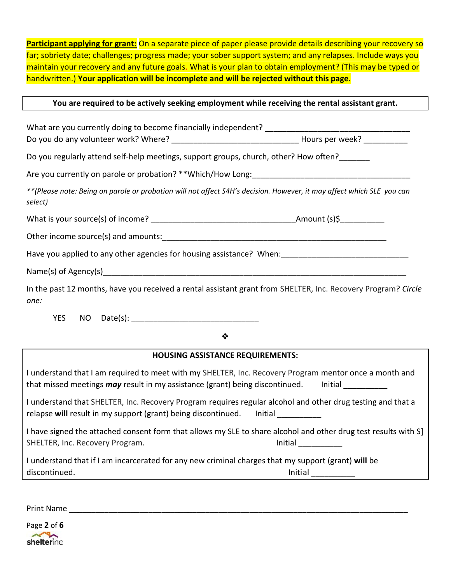**Participant applying for grant:** On a separate piece of paper please provide details describing your recovery so far; sobriety date; challenges; progress made; your sober support system; and any relapses. Include ways you maintain your recovery and any future goals. What is your plan to obtain employment? (This may be typed or handwritten.) **Your application will be incomplete and will be rejected without this page.**

## **You are required to be actively seeking employment while receiving the rental assistant grant.**

What are you currently doing to become financially independent? \_\_\_\_\_\_\_\_\_\_\_\_\_\_\_\_ Do you do any volunteer work? Where? \_\_\_\_\_\_\_\_\_\_\_\_\_\_\_\_\_\_\_\_\_\_\_\_\_\_\_\_\_ Hours per week? \_\_\_\_\_\_\_\_\_\_ Do you regularly attend self-help meetings, support groups, church, other? How often? Are you currently on parole or probation? \*\*Which/How Long: *\*\*(Please note: Being on parole or probation will not affect S4H's decision. However, it may affect which SLE you can select)* What is your source(s) of income? \_\_\_\_\_\_\_\_\_\_\_\_\_\_\_\_\_\_\_\_\_\_\_\_\_\_\_\_\_\_\_\_\_Amount (s)\$\_\_\_\_\_\_\_\_\_\_ Other income source(s) and amounts:  $\Box$ Have you applied to any other agencies for housing assistance? When: Name(s) of Agency(s) example and the Name (s) of Agency(s) and the summation of  $\sim$ In the past 12 months, have you received a rental assistant grant from SHELTER, Inc. Recovery Program? *Circle one:* YES NO Date(s): ❖ **HOUSING ASSISTANCE REQUIREMENTS:** I understand that I am required to meet with my SHELTER, Inc. Recovery Program mentor once a month and that missed meetings *may* result in my assistance (grant) being discontinued. Initial I understand that SHELTER, Inc. Recovery Program requires regular alcohol and other drug testing and that a relapse will result in my support (grant) being discontinued. Initial \_\_\_\_\_\_\_\_\_ I have signed the attached consent form that allows my SLE to share alcohol and other drug test results with S] SHELTER, Inc. Recovery Program. The same state of the state of the limitial state of the state of the state of the state of the state of the state of the state of the state of the state of the state of the state of the sta I understand that if I am incarcerated for any new criminal charges that my support (grant) **will** be discontinued. The contribution of the contribution of the contribution of the contribution of the contribution of the contribution of the contribution of the contribution of the contribution of the contribution of the cont

Print Name and the set of the set of the set of the set of the set of the set of the set of the set of the set of the set of the set of the set of the set of the set of the set of the set of the set of the set of the set o

Page **2** of **6**  shelterinc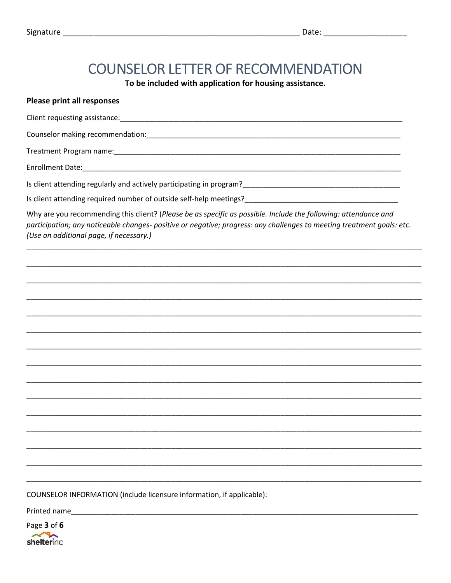# **COUNSELOR LETTER OF RECOMMENDATION**

To be included with application for housing assistance.

## **Please print all responses**

Client requesting assistance: example and a set of the state of the state of the state of the state of the state of the state of the state of the state of the state of the state of the state of the state of the state of th

Counselor making recommendation: example and a series of the series of the series of the series of the series of the series of the series of the series of the series of the series of the series of the series of the series

**Treatment Program name:** The action of the state of the state of the state of the state of the state of the state of the state of the state of the state of the state of the state of the state of the state of the state of

Enrollment Date: The Contract of the Contract of the Contract of the Contract of the Contract of the Contract of the Contract of the Contract of the Contract of the Contract of the Contract of the Contract of the Contract

Why are you recommending this client? (Please be as specific as possible. Include the following: attendance and participation; any noticeable changes- positive or negative; progress: any challenges to meeting treatment goals: etc. (Use an additional page, if necessary.)

COUNSELOR INFORMATION (include licensure information, if applicable):

Printed name

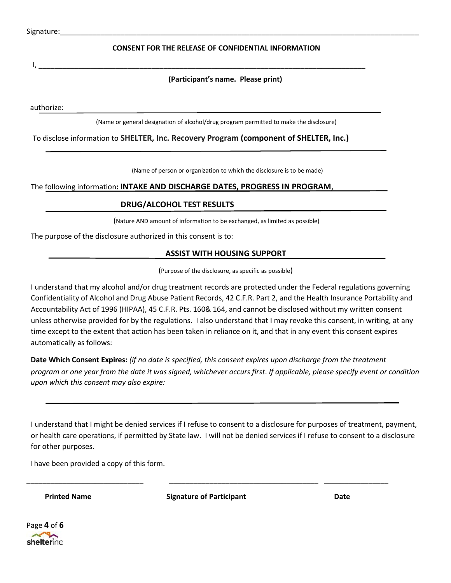## **CONSENT FOR THE RELEASE OF CONFIDENTIAL INFORMATION**

I, **\_\_\_\_\_\_\_\_\_\_\_\_\_\_\_\_\_\_\_\_\_\_\_\_\_\_\_\_\_\_\_\_\_\_\_\_\_\_\_\_\_\_\_\_\_\_\_\_\_\_\_\_\_\_\_\_\_\_\_\_\_\_\_\_\_\_\_\_\_\_\_\_\_\_\_\_\_\_\_\_\_** 

## **(Participant's name. Please print)**

authorize:

(Name or general designation of alcohol/drug program permitted to make the disclosure)

To disclose information to **SHELTER, Inc. Recovery Program (component of SHELTER, Inc.)**

(Name of person or organization to which the disclosure is to be made)

The following information**: INTAKE AND DISCHARGE DATES, PROGRESS IN PROGRAM**,

#### **DRUG/ALCOHOL TEST RESULTS**

(Nature AND amount of information to be exchanged, as limited as possible)

The purpose of the disclosure authorized in this consent is to:

#### **ASSIST WITH HOUSING SUPPORT**

(Purpose of the disclosure, as specific as possible)

I understand that my alcohol and/or drug treatment records are protected under the Federal regulations governing Confidentiality of Alcohol and Drug Abuse Patient Records, 42 C.F.R. Part 2, and the Health Insurance Portability and Accountability Act of 1996 (HIPAA), 45 C.F.R. Pts. 160& 164, and cannot be disclosed without my written consent unless otherwise provided for by the regulations. I also understand that I may revoke this consent, in writing, at any time except to the extent that action has been taken in reliance on it, and that in any event this consent expires automatically as follows:

**Date Which Consent Expires:** *(if no date is specified, this consent expires upon discharge from the treatment program or one year from the date it was signed, whichever occurs first*. *If applicable, please specify event or condition upon which this consent may also expire:* 

I understand that I might be denied services if I refuse to consent to a disclosure for purposes of treatment, payment, or health care operations, if permitted by State law. I will not be denied services if I refuse to consent to a disclosure for other purposes.

I have been provided a copy of this form.

**Printed Name Signature of Participant Community Community Community Community Community Community Community Community Community Community Community Community Community Community Community Community Community Community Com** 

**\_\_\_\_\_\_\_\_\_\_\_\_\_\_\_\_\_\_\_\_\_\_\_\_\_\_\_\_\_ \_\_\_\_\_\_\_\_\_\_\_\_\_\_\_\_\_\_\_\_\_\_\_\_\_\_\_\_\_\_\_\_\_\_\_\_\_ \_\_\_\_\_\_\_\_\_\_\_\_\_\_\_\_**

Page **4** of **6**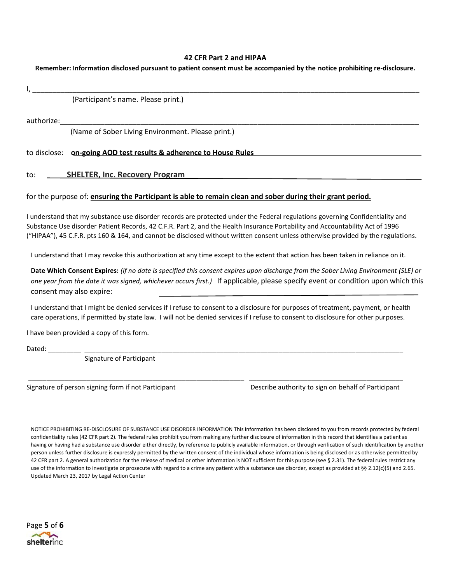#### **42 CFR Part 2 and HIPAA**

**Remember: Information disclosed pursuant to patient consent must be accompanied by the notice prohibiting re-disclosure.**

|                                                                                                                                                                                                                                                                                                                                                                                                                 | (Participant's name. Please print.)                                                                                                                                                                                                                                                                                                                                                                 |                                                                                                                                                                                                                                                                        |
|-----------------------------------------------------------------------------------------------------------------------------------------------------------------------------------------------------------------------------------------------------------------------------------------------------------------------------------------------------------------------------------------------------------------|-----------------------------------------------------------------------------------------------------------------------------------------------------------------------------------------------------------------------------------------------------------------------------------------------------------------------------------------------------------------------------------------------------|------------------------------------------------------------------------------------------------------------------------------------------------------------------------------------------------------------------------------------------------------------------------|
| authorize:                                                                                                                                                                                                                                                                                                                                                                                                      |                                                                                                                                                                                                                                                                                                                                                                                                     |                                                                                                                                                                                                                                                                        |
|                                                                                                                                                                                                                                                                                                                                                                                                                 | (Name of Sober Living Environment. Please print.)                                                                                                                                                                                                                                                                                                                                                   |                                                                                                                                                                                                                                                                        |
|                                                                                                                                                                                                                                                                                                                                                                                                                 | to disclose: on-going AOD test results & adherence to House Rules                                                                                                                                                                                                                                                                                                                                   |                                                                                                                                                                                                                                                                        |
| to:                                                                                                                                                                                                                                                                                                                                                                                                             | <b>SHELTER, Inc. Recovery Program</b>                                                                                                                                                                                                                                                                                                                                                               |                                                                                                                                                                                                                                                                        |
|                                                                                                                                                                                                                                                                                                                                                                                                                 | for the purpose of: ensuring the Participant is able to remain clean and sober during their grant period.                                                                                                                                                                                                                                                                                           |                                                                                                                                                                                                                                                                        |
|                                                                                                                                                                                                                                                                                                                                                                                                                 | I understand that my substance use disorder records are protected under the Federal regulations governing Confidentiality and<br>Substance Use disorder Patient Records, 42 C.F.R. Part 2, and the Health Insurance Portability and Accountability Act of 1996<br>("HIPAA"), 45 C.F.R. pts 160 & 164, and cannot be disclosed without written consent unless otherwise provided by the regulations. |                                                                                                                                                                                                                                                                        |
|                                                                                                                                                                                                                                                                                                                                                                                                                 | I understand that I may revoke this authorization at any time except to the extent that action has been taken in reliance on it.                                                                                                                                                                                                                                                                    |                                                                                                                                                                                                                                                                        |
| consent may also expire:                                                                                                                                                                                                                                                                                                                                                                                        |                                                                                                                                                                                                                                                                                                                                                                                                     | Date Which Consent Expires: (if no date is specified this consent expires upon discharge from the Sober Living Environment (SLE) or<br>one year from the date it was signed, whichever occurs first.) If applicable, please specify event or condition upon which this |
|                                                                                                                                                                                                                                                                                                                                                                                                                 | I understand that I might be denied services if I refuse to consent to a disclosure for purposes of treatment, payment, or health<br>care operations, if permitted by state law. I will not be denied services if I refuse to consent to disclosure for other purposes.                                                                                                                             |                                                                                                                                                                                                                                                                        |
|                                                                                                                                                                                                                                                                                                                                                                                                                 | I have been provided a copy of this form.                                                                                                                                                                                                                                                                                                                                                           |                                                                                                                                                                                                                                                                        |
| Dated: $\frac{1}{\frac{1}{1-\frac{1}{1-\frac{1}{1-\frac{1}{1-\frac{1}{1-\frac{1}{1-\frac{1}{1-\frac{1}{1-\frac{1}{1-\frac{1}{1-\frac{1}{1-\frac{1}{1-\frac{1}{1-\frac{1}{1-\frac{1}{1-\frac{1}{1-\frac{1}{1-\frac{1}{1-\frac{1}{1-\frac{1}{1-\frac{1}{1-\frac{1}{1-\frac{1}{1-\frac{1}{1-\frac{1}{1-\frac{1}{1-\frac{1}{1-\frac{1}{1-\frac{1}{1-\frac{1}{1-\frac{1}{1-\frac{1}{1-\frac{1}{1-\frac{1}{1-\frac{1$ |                                                                                                                                                                                                                                                                                                                                                                                                     |                                                                                                                                                                                                                                                                        |
|                                                                                                                                                                                                                                                                                                                                                                                                                 | Signature of Participant                                                                                                                                                                                                                                                                                                                                                                            |                                                                                                                                                                                                                                                                        |
|                                                                                                                                                                                                                                                                                                                                                                                                                 | Signature of person signing form if not Participant                                                                                                                                                                                                                                                                                                                                                 | Describe authority to sign on behalf of Participant                                                                                                                                                                                                                    |
|                                                                                                                                                                                                                                                                                                                                                                                                                 | NOTICE PROHIBITING RE-DISCLOSURE OF SUBSTANCE USE DISORDER INFORMATION This information has been disclosed to you from records protected by federal                                                                                                                                                                                                                                                 |                                                                                                                                                                                                                                                                        |

NOTICE PROHIBITING RE-DISCLOSURE OF SUBSTANCE USE DISORDER INFORMATION This information has been disclosed to you from records protected by federal confidentiality rules (42 CFR part 2). The federal rules prohibit you from making any further disclosure of information in this record that identifies a patient as having or having had a substance use disorder either directly, by reference to publicly available information, or through verification of such identification by another person unless further disclosure is expressly permitted by the written consent of the individual whose information is being disclosed or as otherwise permitted by 42 CFR part 2. A general authorization for the release of medical or other information is NOT sufficient for this purpose (see § 2.31). The federal rules restrict any use of the information to investigate or prosecute with regard to a crime any patient with a substance use disorder, except as provided at §§ 2.12(c)(5) and 2.65. Updated March 23, 2017 by Legal Action Center